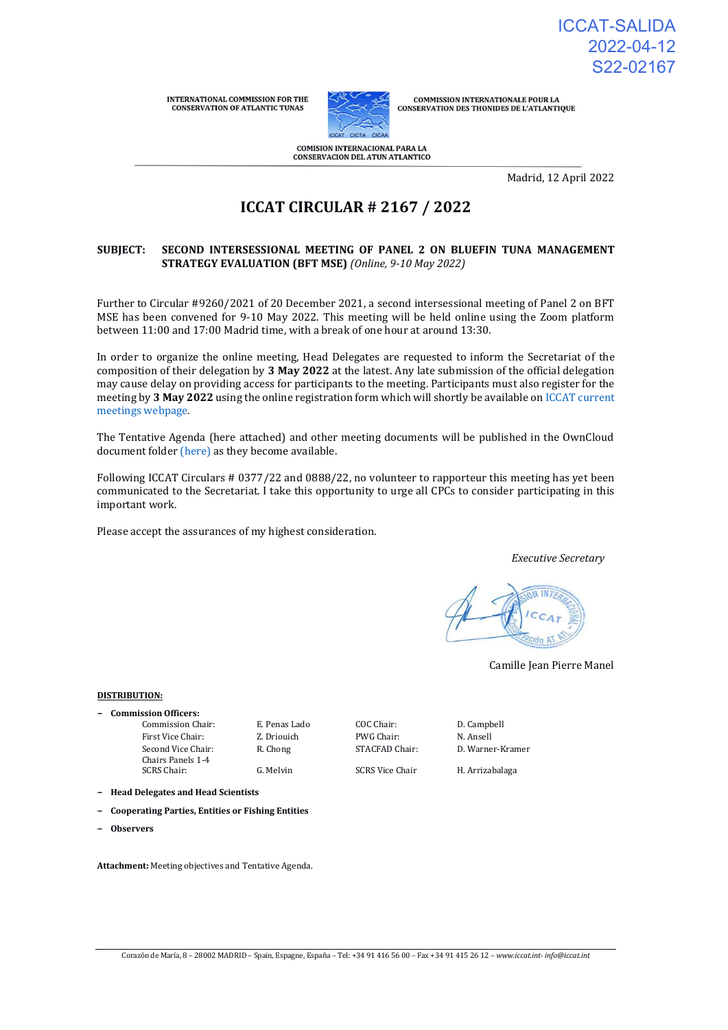INTERNATIONAL COMMISSION FOR THE CONSERVATION OF ATLANTIC TUNAS



**COMMISSION INTERNATIONALE POUR LA<br>CONSERVATION DES THONIDES DE L'ATLANTIQUE** 

**COMISION INTERNACIONAL PARA LA CONSERVACION DEL ATUN ATLANTICO** 

Madrid, 12 April 2022

# **ICCAT CIRCULAR # 2167 / 2022**

### **SUBJECT: SECOND INTERSESSIONAL MEETING OF PANEL 2 ON BLUEFIN TUNA MANAGEMENT STRATEGY EVALUATION (BFT MSE)** *(Online, 9-10 May 2022)*

Further to Circular #9260/2021 of 20 December 2021, a second intersessional meeting of Panel 2 on BFT MSE has been convened for 9-10 May 2022. This meeting will be held online using the Zoom platform between 11:00 and 17:00 Madrid time, with a break of one hour at around 13:30.

In order to organize the online meeting, Head Delegates are requested to inform the Secretariat of the composition of their delegation by **3 May 2022** at the latest. Any late submission of the official delegation may cause delay on providing access for participants to the meeting. Participants must also register for the meeting by **3 May 2022** using the online registration form which will shortly be available on [ICCAT current](https://www.iccat.int/en/Meetings.html)  [meetings webpage.](https://www.iccat.int/en/Meetings.html) 

The Tentative Agenda (here attached) and other meeting documents will be published in the OwnCloud document folde[r \(here\)](https://meetings.iccat.int/index.php/s/hnO1TWppOJi9Nek?path=%2FMay_meeting) as they become available.

Following ICCAT Circulars # 0377/22 and 0888/22, no volunteer to rapporteur this meeting has yet been communicated to the Secretariat. I take this opportunity to urge all CPCs to consider participating in this important work.

Please accept the assurances of my highest consideration.

#### *Executive Secretary*

Camille Jean Pierre Manel

#### **DISTRIBUTION:**

| <b>Commission Officers:</b>             |               |                        |           |
|-----------------------------------------|---------------|------------------------|-----------|
| Commission Chair:                       | E. Penas Lado | COC Chair:             | D. Campl  |
| First Vice Chair:                       | Z. Driouich   | PWG Chair:             | N. Ansell |
| Second Vice Chair:<br>Chairs Panels 1-4 | R. Chong      | STACFAD Chair:         | D. Warne  |
| SCRS Chair:                             | G. Melvin     | <b>SCRS Vice Chair</b> | H. Arriza |

ado COC Chair: D. Campbell

STACFAD Chair: D. Warner-Kramer

SCRS Vice Chair H. Arrizabalaga

- **− Head Delegates and Head Scientists**
- **− Cooperating Parties, Entities or Fishing Entities**
- **− Observers**

**Attachment:** Meeting objectives and Tentative Agenda.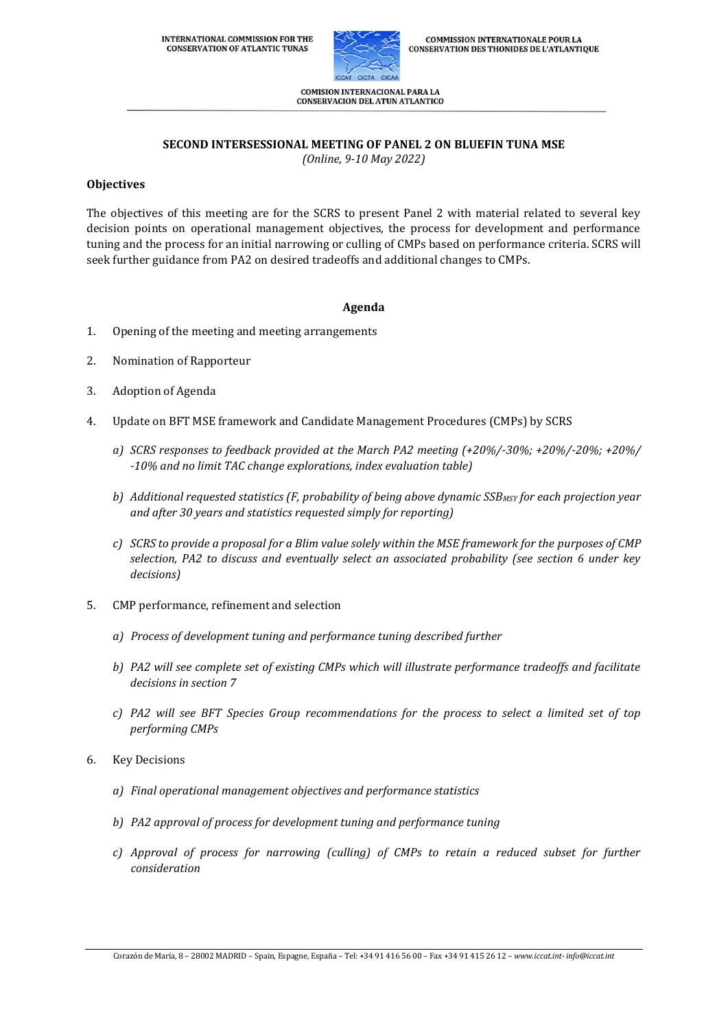

COMISION INTERNACIONAL PARA LA **CONSERVACION DEL ATUN ATLANTICO** 

# **SECOND INTERSESSIONAL MEETING OF PANEL 2 ON BLUEFIN TUNA MSE**

*(Online, 9-10 May 2022)*

# **Objectives**

The objectives of this meeting are for the SCRS to present Panel 2 with material related to several key decision points on operational management objectives, the process for development and performance tuning and the process for an initial narrowing or culling of CMPs based on performance criteria. SCRS will seek further guidance from PA2 on desired tradeoffs and additional changes to CMPs.

## **Agenda**

- 1. Opening of the meeting and meeting arrangements
- 2. Nomination of Rapporteur
- 3. Adoption of Agenda
- 4. Update on BFT MSE framework and Candidate Management Procedures (CMPs) by SCRS
	- *a) SCRS responses to feedback provided at the March PA2 meeting (+20%/-30%; +20%/-20%; +20%/ -10% and no limit TAC change explorations, index evaluation table)*
	- *b) Additional requested statistics (F, probability of being above dynamic SSBMSY for each projection year and after 30 years and statistics requested simply for reporting)*
	- *c) SCRS to provide a proposal for a Blim value solely within the MSE framework for the purposes of CMP selection, PA2 to discuss and eventually select an associated probability (see section 6 under key decisions)*
- 5. CMP performance, refinement and selection
	- *a) Process of development tuning and performance tuning described further*
	- *b) PA2 will see complete set of existing CMPs which will illustrate performance tradeoffs and facilitate decisions in section 7*
	- *c) PA2 will see BFT Species Group recommendations for the process to select a limited set of top performing CMPs*
- 6. Key Decisions
	- *a) Final operational management objectives and performance statistics*
	- *b) PA2 approval of process for development tuning and performance tuning*
	- *c) Approval of process for narrowing (culling) of CMPs to retain a reduced subset for further consideration*